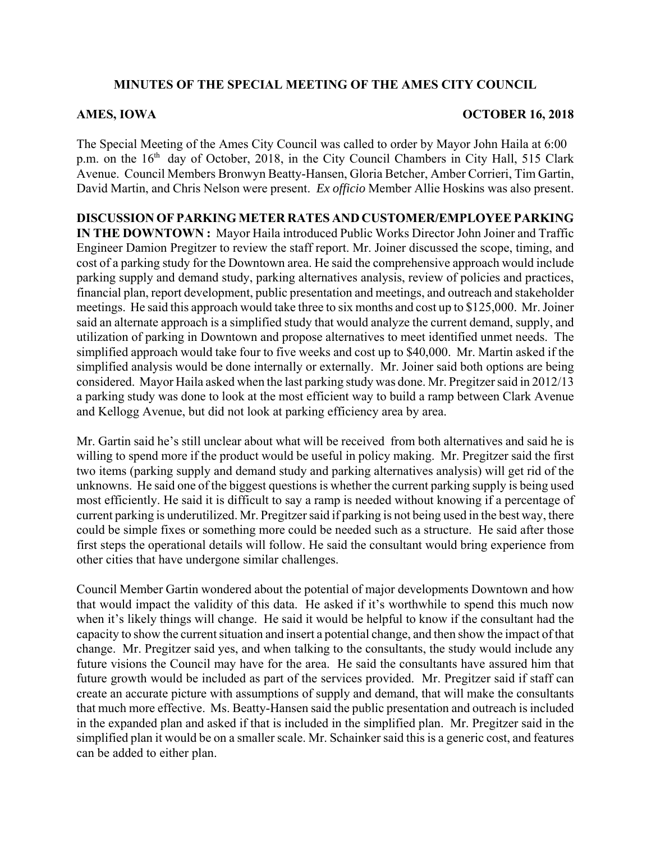# **MINUTES OF THE SPECIAL MEETING OF THE AMES CITY COUNCIL**

# **AMES, IOWA OCTOBER 16, 2018**

The Special Meeting of the Ames City Council was called to order by Mayor John Haila at 6:00 p.m. on the  $16<sup>th</sup>$  day of October, 2018, in the City Council Chambers in City Hall, 515 Clark Avenue. Council Members Bronwyn Beatty-Hansen, Gloria Betcher, Amber Corrieri, Tim Gartin, David Martin, and Chris Nelson were present. *Ex officio* Member Allie Hoskins was also present.

**DISCUSSION OF PARKING METER RATES AND CUSTOMER/EMPLOYEE PARKING IN THE DOWNTOWN :** Mayor Haila introduced Public Works Director John Joiner and Traffic Engineer Damion Pregitzer to review the staff report. Mr. Joiner discussed the scope, timing, and cost of a parking study for the Downtown area. He said the comprehensive approach would include parking supply and demand study, parking alternatives analysis, review of policies and practices, financial plan, report development, public presentation and meetings, and outreach and stakeholder meetings. He said this approach would take three to six months and cost up to \$125,000. Mr. Joiner said an alternate approach is a simplified study that would analyze the current demand, supply, and utilization of parking in Downtown and propose alternatives to meet identified unmet needs. The simplified approach would take four to five weeks and cost up to \$40,000. Mr. Martin asked if the simplified analysis would be done internally or externally. Mr. Joiner said both options are being considered. Mayor Haila asked when the last parking study was done. Mr. Pregitzer said in 2012/13 a parking study was done to look at the most efficient way to build a ramp between Clark Avenue and Kellogg Avenue, but did not look at parking efficiency area by area.

Mr. Gartin said he's still unclear about what will be received from both alternatives and said he is willing to spend more if the product would be useful in policy making. Mr. Pregitzer said the first two items (parking supply and demand study and parking alternatives analysis) will get rid of the unknowns. He said one of the biggest questions is whether the current parking supply is being used most efficiently. He said it is difficult to say a ramp is needed without knowing if a percentage of current parking is underutilized. Mr. Pregitzer said if parking is not being used in the best way, there could be simple fixes or something more could be needed such as a structure. He said after those first steps the operational details will follow. He said the consultant would bring experience from other cities that have undergone similar challenges.

Council Member Gartin wondered about the potential of major developments Downtown and how that would impact the validity of this data. He asked if it's worthwhile to spend this much now when it's likely things will change. He said it would be helpful to know if the consultant had the capacity to show the current situation and insert a potential change, and then show the impact of that change. Mr. Pregitzer said yes, and when talking to the consultants, the study would include any future visions the Council may have for the area. He said the consultants have assured him that future growth would be included as part of the services provided. Mr. Pregitzer said if staff can create an accurate picture with assumptions of supply and demand, that will make the consultants that much more effective. Ms. Beatty-Hansen said the public presentation and outreach is included in the expanded plan and asked if that is included in the simplified plan. Mr. Pregitzer said in the simplified plan it would be on a smaller scale. Mr. Schainker said this is a generic cost, and features can be added to either plan.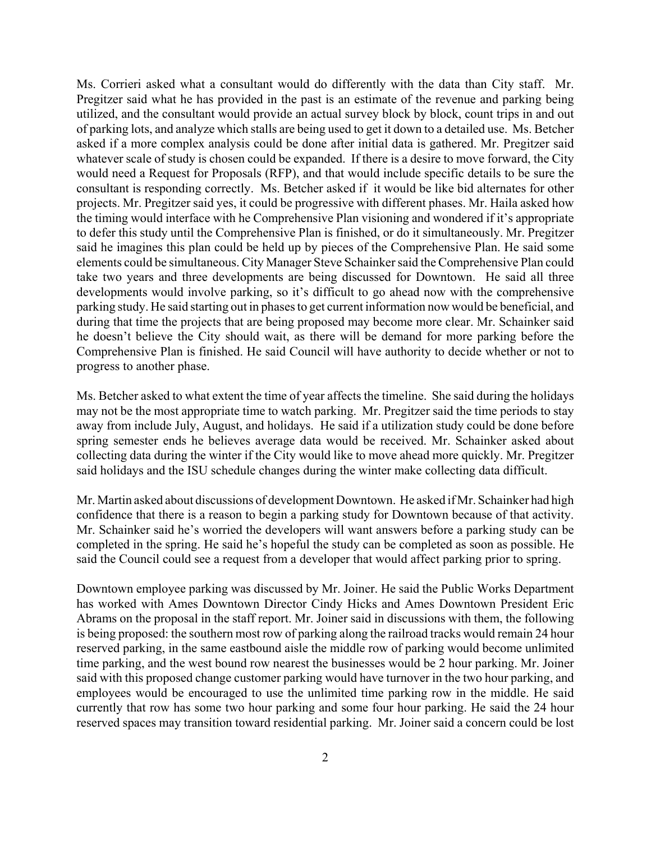Ms. Corrieri asked what a consultant would do differently with the data than City staff. Mr. Pregitzer said what he has provided in the past is an estimate of the revenue and parking being utilized, and the consultant would provide an actual survey block by block, count trips in and out of parking lots, and analyze which stalls are being used to get it down to a detailed use. Ms. Betcher asked if a more complex analysis could be done after initial data is gathered. Mr. Pregitzer said whatever scale of study is chosen could be expanded. If there is a desire to move forward, the City would need a Request for Proposals (RFP), and that would include specific details to be sure the consultant is responding correctly. Ms. Betcher asked if it would be like bid alternates for other projects. Mr. Pregitzer said yes, it could be progressive with different phases. Mr. Haila asked how the timing would interface with he Comprehensive Plan visioning and wondered if it's appropriate to defer this study until the Comprehensive Plan is finished, or do it simultaneously. Mr. Pregitzer said he imagines this plan could be held up by pieces of the Comprehensive Plan. He said some elements could be simultaneous. City Manager Steve Schainker said the Comprehensive Plan could take two years and three developments are being discussed for Downtown. He said all three developments would involve parking, so it's difficult to go ahead now with the comprehensive parking study. He said starting out in phases to get current information now would be beneficial, and during that time the projects that are being proposed may become more clear. Mr. Schainker said he doesn't believe the City should wait, as there will be demand for more parking before the Comprehensive Plan is finished. He said Council will have authority to decide whether or not to progress to another phase.

Ms. Betcher asked to what extent the time of year affects the timeline. She said during the holidays may not be the most appropriate time to watch parking. Mr. Pregitzer said the time periods to stay away from include July, August, and holidays. He said if a utilization study could be done before spring semester ends he believes average data would be received. Mr. Schainker asked about collecting data during the winter if the City would like to move ahead more quickly. Mr. Pregitzer said holidays and the ISU schedule changes during the winter make collecting data difficult.

Mr. Martin asked about discussions of development Downtown. He asked if Mr. Schainker had high confidence that there is a reason to begin a parking study for Downtown because of that activity. Mr. Schainker said he's worried the developers will want answers before a parking study can be completed in the spring. He said he's hopeful the study can be completed as soon as possible. He said the Council could see a request from a developer that would affect parking prior to spring.

Downtown employee parking was discussed by Mr. Joiner. He said the Public Works Department has worked with Ames Downtown Director Cindy Hicks and Ames Downtown President Eric Abrams on the proposal in the staff report. Mr. Joiner said in discussions with them, the following is being proposed: the southern most row of parking along the railroad tracks would remain 24 hour reserved parking, in the same eastbound aisle the middle row of parking would become unlimited time parking, and the west bound row nearest the businesses would be 2 hour parking. Mr. Joiner said with this proposed change customer parking would have turnover in the two hour parking, and employees would be encouraged to use the unlimited time parking row in the middle. He said currently that row has some two hour parking and some four hour parking. He said the 24 hour reserved spaces may transition toward residential parking. Mr. Joiner said a concern could be lost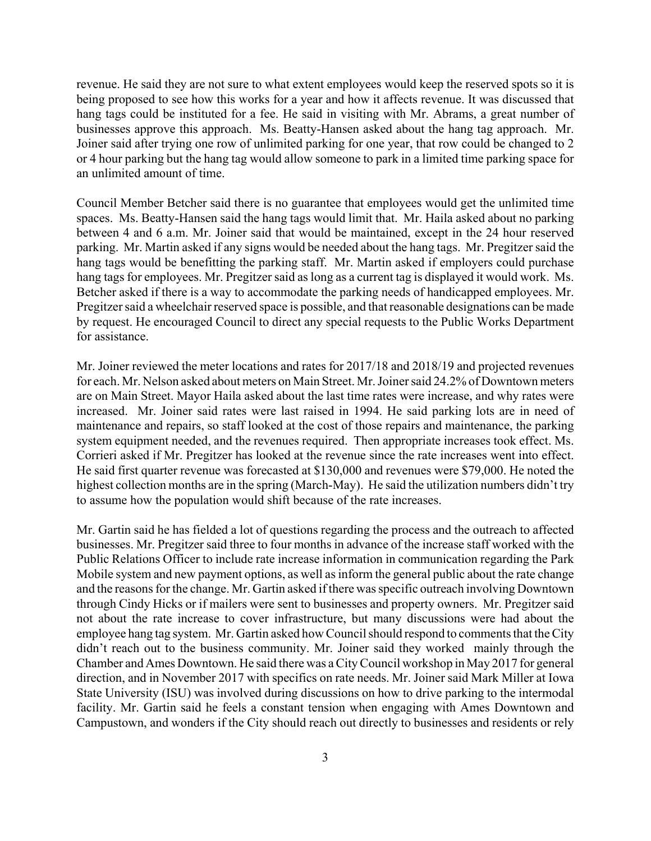revenue. He said they are not sure to what extent employees would keep the reserved spots so it is being proposed to see how this works for a year and how it affects revenue. It was discussed that hang tags could be instituted for a fee. He said in visiting with Mr. Abrams, a great number of businesses approve this approach. Ms. Beatty-Hansen asked about the hang tag approach. Mr. Joiner said after trying one row of unlimited parking for one year, that row could be changed to 2 or 4 hour parking but the hang tag would allow someone to park in a limited time parking space for an unlimited amount of time.

Council Member Betcher said there is no guarantee that employees would get the unlimited time spaces. Ms. Beatty-Hansen said the hang tags would limit that. Mr. Haila asked about no parking between 4 and 6 a.m. Mr. Joiner said that would be maintained, except in the 24 hour reserved parking. Mr. Martin asked if any signs would be needed about the hang tags. Mr. Pregitzer said the hang tags would be benefitting the parking staff. Mr. Martin asked if employers could purchase hang tags for employees. Mr. Pregitzer said as long as a current tag is displayed it would work. Ms. Betcher asked if there is a way to accommodate the parking needs of handicapped employees. Mr. Pregitzer said a wheelchair reserved space is possible, and that reasonable designations can be made by request. He encouraged Council to direct any special requests to the Public Works Department for assistance.

Mr. Joiner reviewed the meter locations and rates for 2017/18 and 2018/19 and projected revenues for each. Mr. Nelson asked about meters on Main Street. Mr. Joiner said 24.2% of Downtown meters are on Main Street. Mayor Haila asked about the last time rates were increase, and why rates were increased. Mr. Joiner said rates were last raised in 1994. He said parking lots are in need of maintenance and repairs, so staff looked at the cost of those repairs and maintenance, the parking system equipment needed, and the revenues required. Then appropriate increases took effect. Ms. Corrieri asked if Mr. Pregitzer has looked at the revenue since the rate increases went into effect. He said first quarter revenue was forecasted at \$130,000 and revenues were \$79,000. He noted the highest collection months are in the spring (March-May). He said the utilization numbers didn't try to assume how the population would shift because of the rate increases.

Mr. Gartin said he has fielded a lot of questions regarding the process and the outreach to affected businesses. Mr. Pregitzer said three to four months in advance of the increase staff worked with the Public Relations Officer to include rate increase information in communication regarding the Park Mobile system and new payment options, as well as inform the general public about the rate change and the reasons for the change. Mr. Gartin asked if there was specific outreach involving Downtown through Cindy Hicks or if mailers were sent to businesses and property owners. Mr. Pregitzer said not about the rate increase to cover infrastructure, but many discussions were had about the employee hang tag system. Mr. Gartin asked how Council should respond to comments that the City didn't reach out to the business community. Mr. Joiner said they worked mainly through the Chamber and Ames Downtown. He said there was a City Council workshop in May 2017 for general direction, and in November 2017 with specifics on rate needs. Mr. Joiner said Mark Miller at Iowa State University (ISU) was involved during discussions on how to drive parking to the intermodal facility. Mr. Gartin said he feels a constant tension when engaging with Ames Downtown and Campustown, and wonders if the City should reach out directly to businesses and residents or rely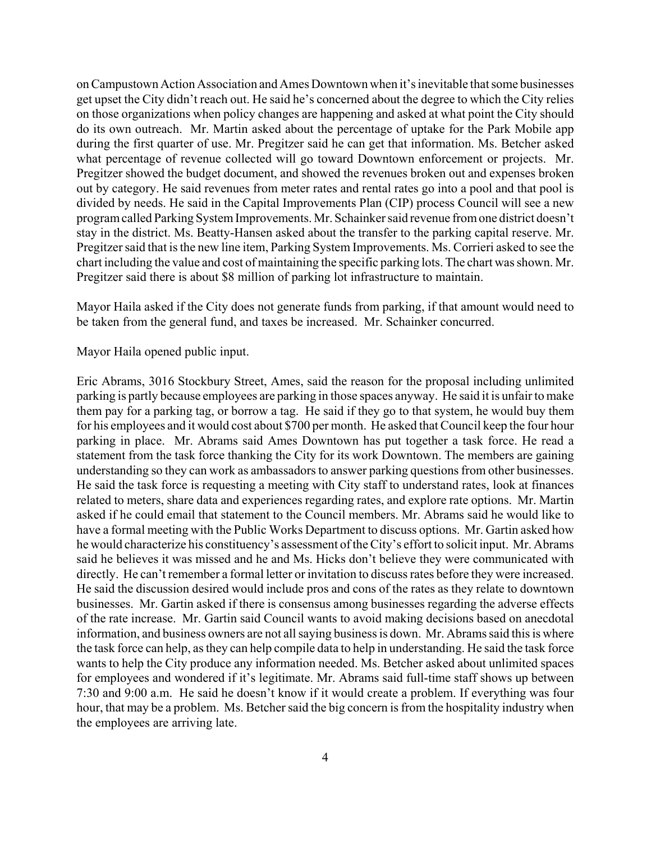on Campustown Action Association and Ames Downtown when it's inevitable that some businesses get upset the City didn't reach out. He said he's concerned about the degree to which the City relies on those organizations when policy changes are happening and asked at what point the City should do its own outreach. Mr. Martin asked about the percentage of uptake for the Park Mobile app during the first quarter of use. Mr. Pregitzer said he can get that information. Ms. Betcher asked what percentage of revenue collected will go toward Downtown enforcement or projects. Mr. Pregitzer showed the budget document, and showed the revenues broken out and expenses broken out by category. He said revenues from meter rates and rental rates go into a pool and that pool is divided by needs. He said in the Capital Improvements Plan (CIP) process Council will see a new program called Parking System Improvements. Mr. Schainker said revenue from one district doesn't stay in the district. Ms. Beatty-Hansen asked about the transfer to the parking capital reserve. Mr. Pregitzer said that is the new line item, Parking System Improvements. Ms. Corrieri asked to see the chart including the value and cost of maintaining the specific parking lots. The chart was shown. Mr. Pregitzer said there is about \$8 million of parking lot infrastructure to maintain.

Mayor Haila asked if the City does not generate funds from parking, if that amount would need to be taken from the general fund, and taxes be increased. Mr. Schainker concurred.

Mayor Haila opened public input.

Eric Abrams, 3016 Stockbury Street, Ames, said the reason for the proposal including unlimited parking is partly because employees are parking in those spaces anyway. He said it is unfair to make them pay for a parking tag, or borrow a tag. He said if they go to that system, he would buy them for his employees and it would cost about \$700 per month. He asked that Council keep the four hour parking in place. Mr. Abrams said Ames Downtown has put together a task force. He read a statement from the task force thanking the City for its work Downtown. The members are gaining understanding so they can work as ambassadors to answer parking questions from other businesses. He said the task force is requesting a meeting with City staff to understand rates, look at finances related to meters, share data and experiences regarding rates, and explore rate options. Mr. Martin asked if he could email that statement to the Council members. Mr. Abrams said he would like to have a formal meeting with the Public Works Department to discuss options. Mr. Gartin asked how he would characterize his constituency's assessment of the City's effort to solicit input. Mr. Abrams said he believes it was missed and he and Ms. Hicks don't believe they were communicated with directly. He can't remember a formal letter or invitation to discuss rates before they were increased. He said the discussion desired would include pros and cons of the rates as they relate to downtown businesses. Mr. Gartin asked if there is consensus among businesses regarding the adverse effects of the rate increase. Mr. Gartin said Council wants to avoid making decisions based on anecdotal information, and business owners are not all saying business is down. Mr. Abrams said this is where the task force can help, as they can help compile data to help in understanding. He said the task force wants to help the City produce any information needed. Ms. Betcher asked about unlimited spaces for employees and wondered if it's legitimate. Mr. Abrams said full-time staff shows up between 7:30 and 9:00 a.m. He said he doesn't know if it would create a problem. If everything was four hour, that may be a problem. Ms. Betcher said the big concern is from the hospitality industry when the employees are arriving late.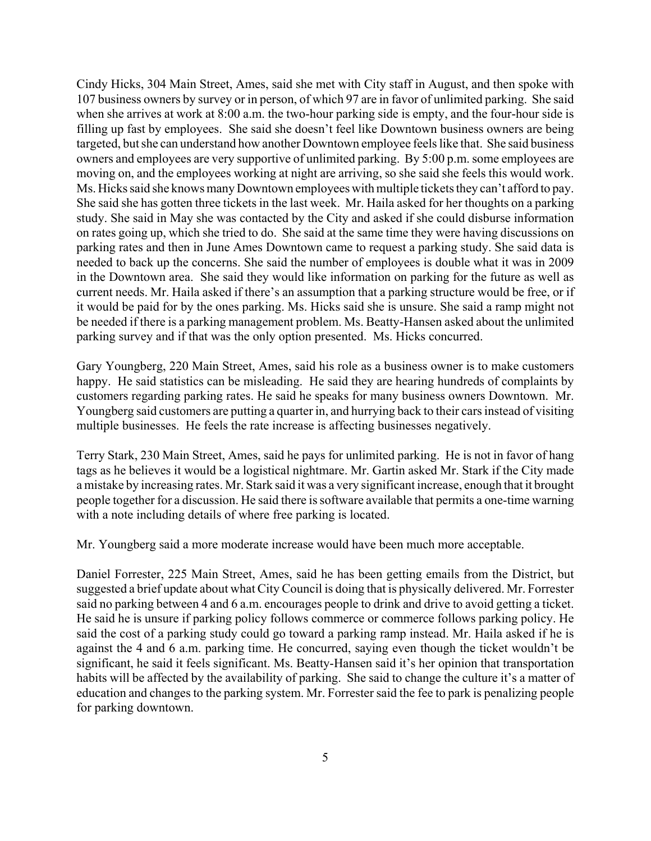Cindy Hicks, 304 Main Street, Ames, said she met with City staff in August, and then spoke with 107 business owners by survey or in person, of which 97 are in favor of unlimited parking. She said when she arrives at work at 8:00 a.m. the two-hour parking side is empty, and the four-hour side is filling up fast by employees. She said she doesn't feel like Downtown business owners are being targeted, but she can understand how another Downtown employee feels like that. She said business owners and employees are very supportive of unlimited parking. By 5:00 p.m. some employees are moving on, and the employees working at night are arriving, so she said she feels this would work. Ms. Hicks said she knows many Downtown employees with multiple tickets they can't afford to pay. She said she has gotten three tickets in the last week. Mr. Haila asked for her thoughts on a parking study. She said in May she was contacted by the City and asked if she could disburse information on rates going up, which she tried to do. She said at the same time they were having discussions on parking rates and then in June Ames Downtown came to request a parking study. She said data is needed to back up the concerns. She said the number of employees is double what it was in 2009 in the Downtown area. She said they would like information on parking for the future as well as current needs. Mr. Haila asked if there's an assumption that a parking structure would be free, or if it would be paid for by the ones parking. Ms. Hicks said she is unsure. She said a ramp might not be needed if there is a parking management problem. Ms. Beatty-Hansen asked about the unlimited parking survey and if that was the only option presented. Ms. Hicks concurred.

Gary Youngberg, 220 Main Street, Ames, said his role as a business owner is to make customers happy. He said statistics can be misleading. He said they are hearing hundreds of complaints by customers regarding parking rates. He said he speaks for many business owners Downtown. Mr. Youngberg said customers are putting a quarter in, and hurrying back to their cars instead of visiting multiple businesses. He feels the rate increase is affecting businesses negatively.

Terry Stark, 230 Main Street, Ames, said he pays for unlimited parking. He is not in favor of hang tags as he believes it would be a logistical nightmare. Mr. Gartin asked Mr. Stark if the City made a mistake by increasing rates. Mr. Stark said it was a very significant increase, enough that it brought people together for a discussion. He said there is software available that permits a one-time warning with a note including details of where free parking is located.

Mr. Youngberg said a more moderate increase would have been much more acceptable.

Daniel Forrester, 225 Main Street, Ames, said he has been getting emails from the District, but suggested a brief update about what City Council is doing that is physically delivered. Mr. Forrester said no parking between 4 and 6 a.m. encourages people to drink and drive to avoid getting a ticket. He said he is unsure if parking policy follows commerce or commerce follows parking policy. He said the cost of a parking study could go toward a parking ramp instead. Mr. Haila asked if he is against the 4 and 6 a.m. parking time. He concurred, saying even though the ticket wouldn't be significant, he said it feels significant. Ms. Beatty-Hansen said it's her opinion that transportation habits will be affected by the availability of parking. She said to change the culture it's a matter of education and changes to the parking system. Mr. Forrester said the fee to park is penalizing people for parking downtown.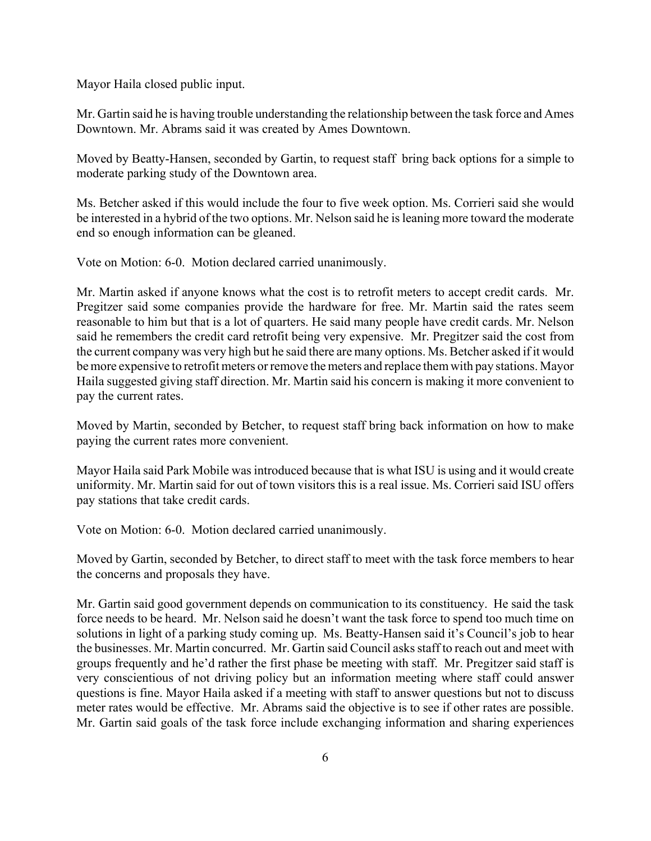Mayor Haila closed public input.

Mr. Gartin said he is having trouble understanding the relationship between the task force and Ames Downtown. Mr. Abrams said it was created by Ames Downtown.

Moved by Beatty-Hansen, seconded by Gartin, to request staff bring back options for a simple to moderate parking study of the Downtown area.

Ms. Betcher asked if this would include the four to five week option. Ms. Corrieri said she would be interested in a hybrid of the two options. Mr. Nelson said he is leaning more toward the moderate end so enough information can be gleaned.

Vote on Motion: 6-0. Motion declared carried unanimously.

Mr. Martin asked if anyone knows what the cost is to retrofit meters to accept credit cards. Mr. Pregitzer said some companies provide the hardware for free. Mr. Martin said the rates seem reasonable to him but that is a lot of quarters. He said many people have credit cards. Mr. Nelson said he remembers the credit card retrofit being very expensive. Mr. Pregitzer said the cost from the current company was very high but he said there are many options. Ms. Betcher asked if it would be more expensive to retrofit meters or remove the meters and replace them with pay stations. Mayor Haila suggested giving staff direction. Mr. Martin said his concern is making it more convenient to pay the current rates.

Moved by Martin, seconded by Betcher, to request staff bring back information on how to make paying the current rates more convenient.

Mayor Haila said Park Mobile was introduced because that is what ISU is using and it would create uniformity. Mr. Martin said for out of town visitors this is a real issue. Ms. Corrieri said ISU offers pay stations that take credit cards.

Vote on Motion: 6-0. Motion declared carried unanimously.

Moved by Gartin, seconded by Betcher, to direct staff to meet with the task force members to hear the concerns and proposals they have.

Mr. Gartin said good government depends on communication to its constituency. He said the task force needs to be heard. Mr. Nelson said he doesn't want the task force to spend too much time on solutions in light of a parking study coming up. Ms. Beatty-Hansen said it's Council's job to hear the businesses. Mr. Martin concurred. Mr. Gartin said Council asks staff to reach out and meet with groups frequently and he'd rather the first phase be meeting with staff. Mr. Pregitzer said staff is very conscientious of not driving policy but an information meeting where staff could answer questions is fine. Mayor Haila asked if a meeting with staff to answer questions but not to discuss meter rates would be effective. Mr. Abrams said the objective is to see if other rates are possible. Mr. Gartin said goals of the task force include exchanging information and sharing experiences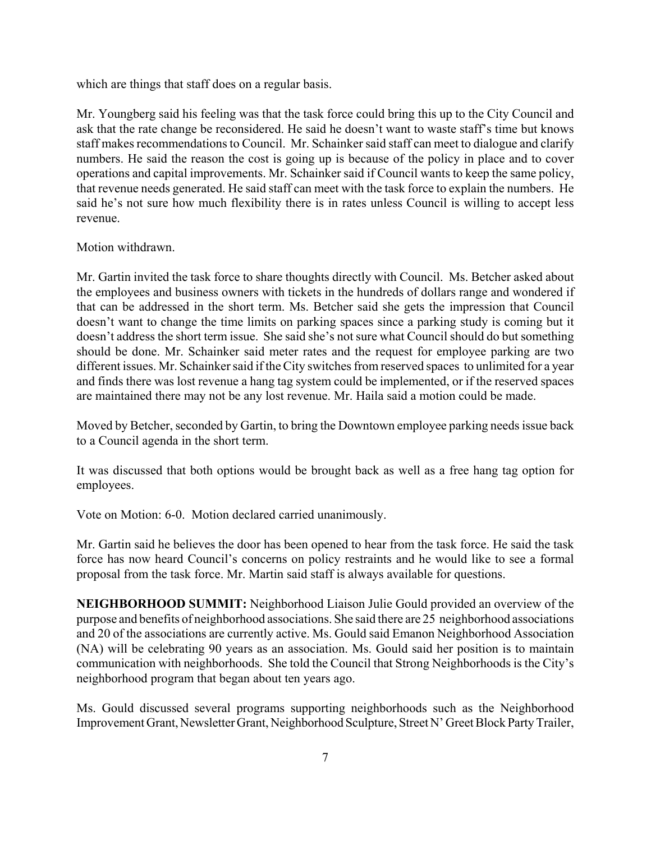which are things that staff does on a regular basis.

Mr. Youngberg said his feeling was that the task force could bring this up to the City Council and ask that the rate change be reconsidered. He said he doesn't want to waste staff's time but knows staff makes recommendations to Council. Mr. Schainker said staff can meet to dialogue and clarify numbers. He said the reason the cost is going up is because of the policy in place and to cover operations and capital improvements. Mr. Schainker said if Council wants to keep the same policy, that revenue needs generated. He said staff can meet with the task force to explain the numbers. He said he's not sure how much flexibility there is in rates unless Council is willing to accept less revenue.

Motion withdrawn.

Mr. Gartin invited the task force to share thoughts directly with Council. Ms. Betcher asked about the employees and business owners with tickets in the hundreds of dollars range and wondered if that can be addressed in the short term. Ms. Betcher said she gets the impression that Council doesn't want to change the time limits on parking spaces since a parking study is coming but it doesn't address the short term issue. She said she's not sure what Council should do but something should be done. Mr. Schainker said meter rates and the request for employee parking are two different issues. Mr. Schainker said if the City switches from reserved spaces to unlimited for a year and finds there was lost revenue a hang tag system could be implemented, or if the reserved spaces are maintained there may not be any lost revenue. Mr. Haila said a motion could be made.

Moved by Betcher, seconded by Gartin, to bring the Downtown employee parking needs issue back to a Council agenda in the short term.

It was discussed that both options would be brought back as well as a free hang tag option for employees.

Vote on Motion: 6-0. Motion declared carried unanimously.

Mr. Gartin said he believes the door has been opened to hear from the task force. He said the task force has now heard Council's concerns on policy restraints and he would like to see a formal proposal from the task force. Mr. Martin said staff is always available for questions.

**NEIGHBORHOOD SUMMIT:** Neighborhood Liaison Julie Gould provided an overview of the purpose and benefits of neighborhood associations. She said there are 25 neighborhood associations and 20 of the associations are currently active. Ms. Gould said Emanon Neighborhood Association (NA) will be celebrating 90 years as an association. Ms. Gould said her position is to maintain communication with neighborhoods. She told the Council that Strong Neighborhoods is the City's neighborhood program that began about ten years ago.

Ms. Gould discussed several programs supporting neighborhoods such as the Neighborhood Improvement Grant, Newsletter Grant, Neighborhood Sculpture, Street N' Greet Block Party Trailer,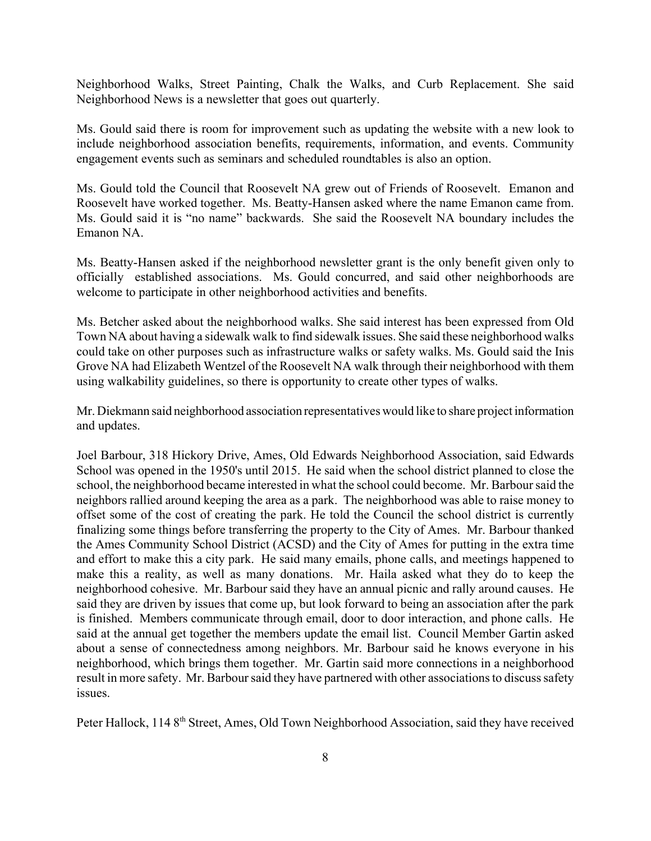Neighborhood Walks, Street Painting, Chalk the Walks, and Curb Replacement. She said Neighborhood News is a newsletter that goes out quarterly.

Ms. Gould said there is room for improvement such as updating the website with a new look to include neighborhood association benefits, requirements, information, and events. Community engagement events such as seminars and scheduled roundtables is also an option.

Ms. Gould told the Council that Roosevelt NA grew out of Friends of Roosevelt. Emanon and Roosevelt have worked together. Ms. Beatty-Hansen asked where the name Emanon came from. Ms. Gould said it is "no name" backwards. She said the Roosevelt NA boundary includes the Emanon NA.

Ms. Beatty-Hansen asked if the neighborhood newsletter grant is the only benefit given only to officially established associations. Ms. Gould concurred, and said other neighborhoods are welcome to participate in other neighborhood activities and benefits.

Ms. Betcher asked about the neighborhood walks. She said interest has been expressed from Old Town NA about having a sidewalk walk to find sidewalk issues. She said these neighborhood walks could take on other purposes such as infrastructure walks or safety walks. Ms. Gould said the Inis Grove NA had Elizabeth Wentzel of the Roosevelt NA walk through their neighborhood with them using walkability guidelines, so there is opportunity to create other types of walks.

Mr. Diekmann said neighborhood association representatives would like to share project information and updates.

Joel Barbour, 318 Hickory Drive, Ames, Old Edwards Neighborhood Association, said Edwards School was opened in the 1950's until 2015. He said when the school district planned to close the school, the neighborhood became interested in what the school could become. Mr. Barbour said the neighbors rallied around keeping the area as a park. The neighborhood was able to raise money to offset some of the cost of creating the park. He told the Council the school district is currently finalizing some things before transferring the property to the City of Ames. Mr. Barbour thanked the Ames Community School District (ACSD) and the City of Ames for putting in the extra time and effort to make this a city park. He said many emails, phone calls, and meetings happened to make this a reality, as well as many donations. Mr. Haila asked what they do to keep the neighborhood cohesive. Mr. Barbour said they have an annual picnic and rally around causes. He said they are driven by issues that come up, but look forward to being an association after the park is finished. Members communicate through email, door to door interaction, and phone calls. He said at the annual get together the members update the email list. Council Member Gartin asked about a sense of connectedness among neighbors. Mr. Barbour said he knows everyone in his neighborhood, which brings them together. Mr. Gartin said more connections in a neighborhood result in more safety. Mr. Barbour said they have partnered with other associations to discuss safety issues.

Peter Hallock, 114 8<sup>th</sup> Street, Ames, Old Town Neighborhood Association, said they have received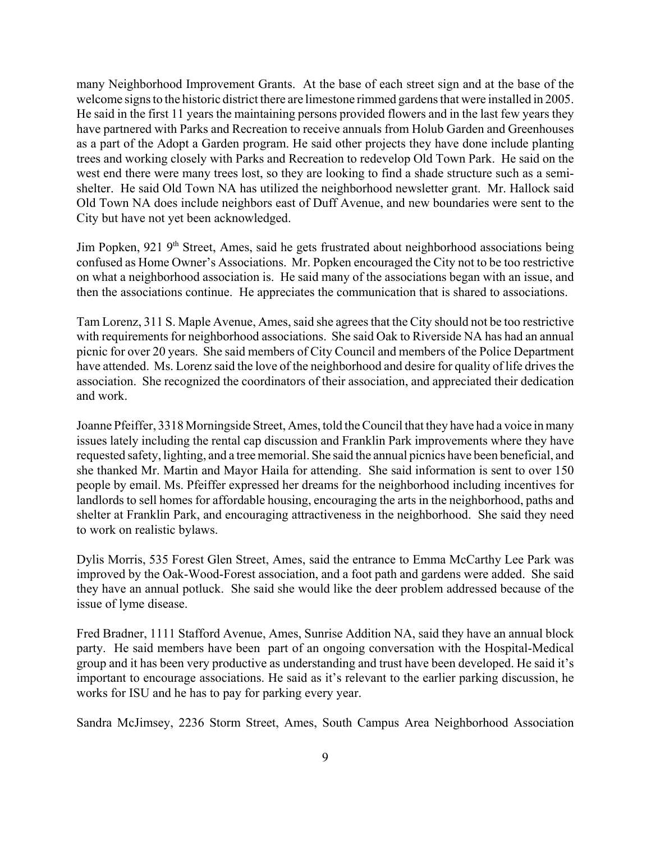many Neighborhood Improvement Grants. At the base of each street sign and at the base of the welcome signs to the historic district there are limestone rimmed gardens that were installed in 2005. He said in the first 11 years the maintaining persons provided flowers and in the last few years they have partnered with Parks and Recreation to receive annuals from Holub Garden and Greenhouses as a part of the Adopt a Garden program. He said other projects they have done include planting trees and working closely with Parks and Recreation to redevelop Old Town Park. He said on the west end there were many trees lost, so they are looking to find a shade structure such as a semishelter. He said Old Town NA has utilized the neighborhood newsletter grant. Mr. Hallock said Old Town NA does include neighbors east of Duff Avenue, and new boundaries were sent to the City but have not yet been acknowledged.

Jim Popken, 921 9<sup>th</sup> Street, Ames, said he gets frustrated about neighborhood associations being confused as Home Owner's Associations. Mr. Popken encouraged the City not to be too restrictive on what a neighborhood association is. He said many of the associations began with an issue, and then the associations continue. He appreciates the communication that is shared to associations.

Tam Lorenz, 311 S. Maple Avenue, Ames, said she agrees that the City should not be too restrictive with requirements for neighborhood associations. She said Oak to Riverside NA has had an annual picnic for over 20 years. She said members of City Council and members of the Police Department have attended. Ms. Lorenz said the love of the neighborhood and desire for quality of life drives the association. She recognized the coordinators of their association, and appreciated their dedication and work.

Joanne Pfeiffer, 3318 Morningside Street, Ames, told the Council that they have had a voice in many issues lately including the rental cap discussion and Franklin Park improvements where they have requested safety, lighting, and a tree memorial. She said the annual picnics have been beneficial, and she thanked Mr. Martin and Mayor Haila for attending. She said information is sent to over 150 people by email. Ms. Pfeiffer expressed her dreams for the neighborhood including incentives for landlords to sell homes for affordable housing, encouraging the arts in the neighborhood, paths and shelter at Franklin Park, and encouraging attractiveness in the neighborhood. She said they need to work on realistic bylaws.

Dylis Morris, 535 Forest Glen Street, Ames, said the entrance to Emma McCarthy Lee Park was improved by the Oak-Wood-Forest association, and a foot path and gardens were added. She said they have an annual potluck. She said she would like the deer problem addressed because of the issue of lyme disease.

Fred Bradner, 1111 Stafford Avenue, Ames, Sunrise Addition NA, said they have an annual block party. He said members have been part of an ongoing conversation with the Hospital-Medical group and it has been very productive as understanding and trust have been developed. He said it's important to encourage associations. He said as it's relevant to the earlier parking discussion, he works for ISU and he has to pay for parking every year.

Sandra McJimsey, 2236 Storm Street, Ames, South Campus Area Neighborhood Association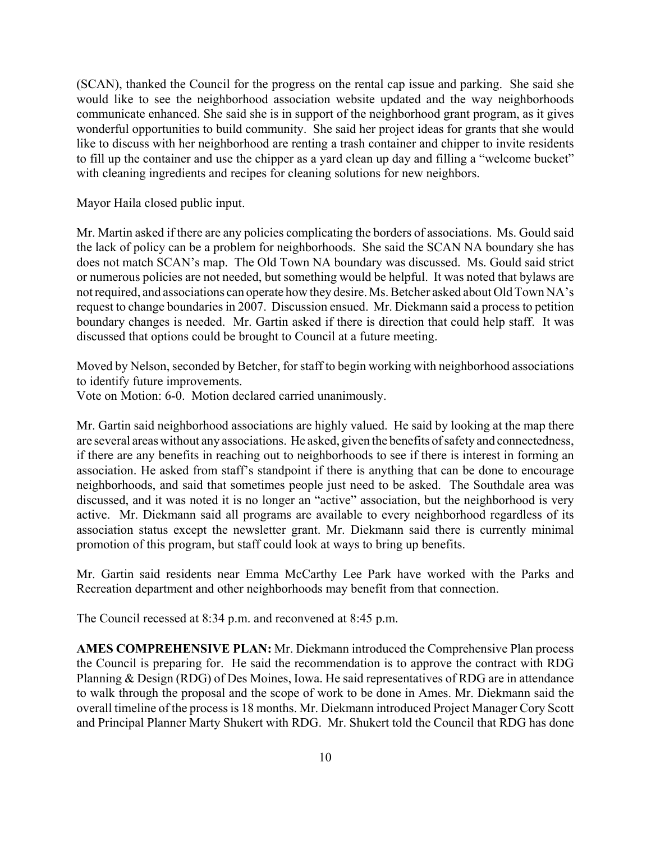(SCAN), thanked the Council for the progress on the rental cap issue and parking. She said she would like to see the neighborhood association website updated and the way neighborhoods communicate enhanced. She said she is in support of the neighborhood grant program, as it gives wonderful opportunities to build community. She said her project ideas for grants that she would like to discuss with her neighborhood are renting a trash container and chipper to invite residents to fill up the container and use the chipper as a yard clean up day and filling a "welcome bucket" with cleaning ingredients and recipes for cleaning solutions for new neighbors.

Mayor Haila closed public input.

Mr. Martin asked if there are any policies complicating the borders of associations. Ms. Gould said the lack of policy can be a problem for neighborhoods. She said the SCAN NA boundary she has does not match SCAN's map. The Old Town NA boundary was discussed. Ms. Gould said strict or numerous policies are not needed, but something would be helpful. It was noted that bylaws are not required, and associations can operate how they desire. Ms. Betcher asked about Old Town NA's request to change boundaries in 2007. Discussion ensued. Mr. Diekmann said a process to petition boundary changes is needed. Mr. Gartin asked if there is direction that could help staff. It was discussed that options could be brought to Council at a future meeting.

Moved by Nelson, seconded by Betcher, for staff to begin working with neighborhood associations to identify future improvements.

Vote on Motion: 6-0. Motion declared carried unanimously.

Mr. Gartin said neighborhood associations are highly valued. He said by looking at the map there are several areas without any associations. He asked, given the benefits of safety and connectedness, if there are any benefits in reaching out to neighborhoods to see if there is interest in forming an association. He asked from staff's standpoint if there is anything that can be done to encourage neighborhoods, and said that sometimes people just need to be asked. The Southdale area was discussed, and it was noted it is no longer an "active" association, but the neighborhood is very active. Mr. Diekmann said all programs are available to every neighborhood regardless of its association status except the newsletter grant. Mr. Diekmann said there is currently minimal promotion of this program, but staff could look at ways to bring up benefits.

Mr. Gartin said residents near Emma McCarthy Lee Park have worked with the Parks and Recreation department and other neighborhoods may benefit from that connection.

The Council recessed at 8:34 p.m. and reconvened at 8:45 p.m.

**AMES COMPREHENSIVE PLAN:** Mr. Diekmann introduced the Comprehensive Plan process the Council is preparing for. He said the recommendation is to approve the contract with RDG Planning & Design (RDG) of Des Moines, Iowa. He said representatives of RDG are in attendance to walk through the proposal and the scope of work to be done in Ames. Mr. Diekmann said the overall timeline of the process is 18 months. Mr. Diekmann introduced Project Manager Cory Scott and Principal Planner Marty Shukert with RDG. Mr. Shukert told the Council that RDG has done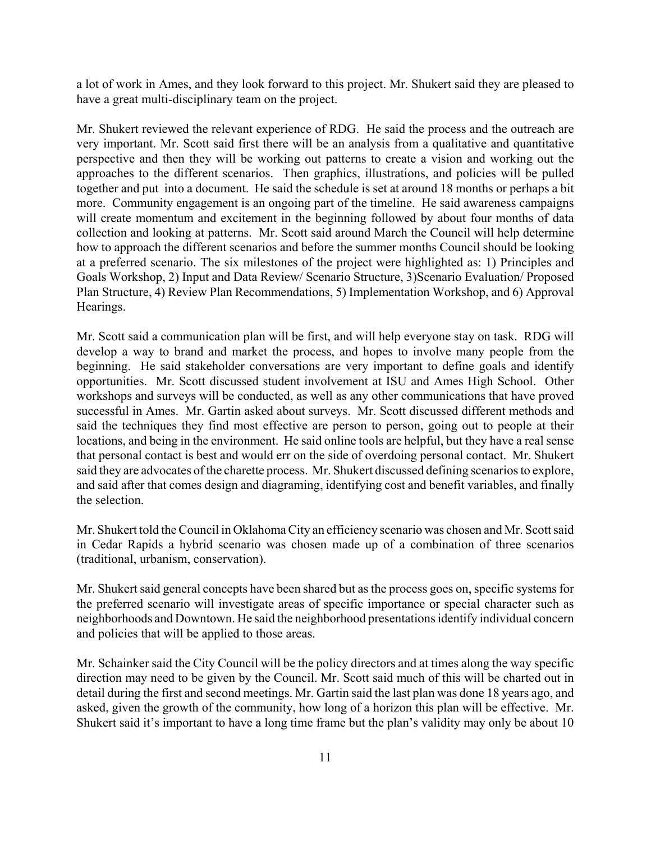a lot of work in Ames, and they look forward to this project. Mr. Shukert said they are pleased to have a great multi-disciplinary team on the project.

Mr. Shukert reviewed the relevant experience of RDG. He said the process and the outreach are very important. Mr. Scott said first there will be an analysis from a qualitative and quantitative perspective and then they will be working out patterns to create a vision and working out the approaches to the different scenarios. Then graphics, illustrations, and policies will be pulled together and put into a document. He said the schedule is set at around 18 months or perhaps a bit more. Community engagement is an ongoing part of the timeline. He said awareness campaigns will create momentum and excitement in the beginning followed by about four months of data collection and looking at patterns. Mr. Scott said around March the Council will help determine how to approach the different scenarios and before the summer months Council should be looking at a preferred scenario. The six milestones of the project were highlighted as: 1) Principles and Goals Workshop, 2) Input and Data Review/ Scenario Structure, 3)Scenario Evaluation/ Proposed Plan Structure, 4) Review Plan Recommendations, 5) Implementation Workshop, and 6) Approval Hearings.

Mr. Scott said a communication plan will be first, and will help everyone stay on task. RDG will develop a way to brand and market the process, and hopes to involve many people from the beginning. He said stakeholder conversations are very important to define goals and identify opportunities. Mr. Scott discussed student involvement at ISU and Ames High School. Other workshops and surveys will be conducted, as well as any other communications that have proved successful in Ames. Mr. Gartin asked about surveys. Mr. Scott discussed different methods and said the techniques they find most effective are person to person, going out to people at their locations, and being in the environment. He said online tools are helpful, but they have a real sense that personal contact is best and would err on the side of overdoing personal contact. Mr. Shukert said they are advocates of the charette process. Mr. Shukert discussed defining scenarios to explore, and said after that comes design and diagraming, identifying cost and benefit variables, and finally the selection.

Mr. Shukert told the Council in Oklahoma City an efficiency scenario was chosen and Mr. Scott said in Cedar Rapids a hybrid scenario was chosen made up of a combination of three scenarios (traditional, urbanism, conservation).

Mr. Shukert said general concepts have been shared but as the process goes on, specific systems for the preferred scenario will investigate areas of specific importance or special character such as neighborhoods and Downtown. He said the neighborhood presentations identify individual concern and policies that will be applied to those areas.

Mr. Schainker said the City Council will be the policy directors and at times along the way specific direction may need to be given by the Council. Mr. Scott said much of this will be charted out in detail during the first and second meetings. Mr. Gartin said the last plan was done 18 years ago, and asked, given the growth of the community, how long of a horizon this plan will be effective. Mr. Shukert said it's important to have a long time frame but the plan's validity may only be about 10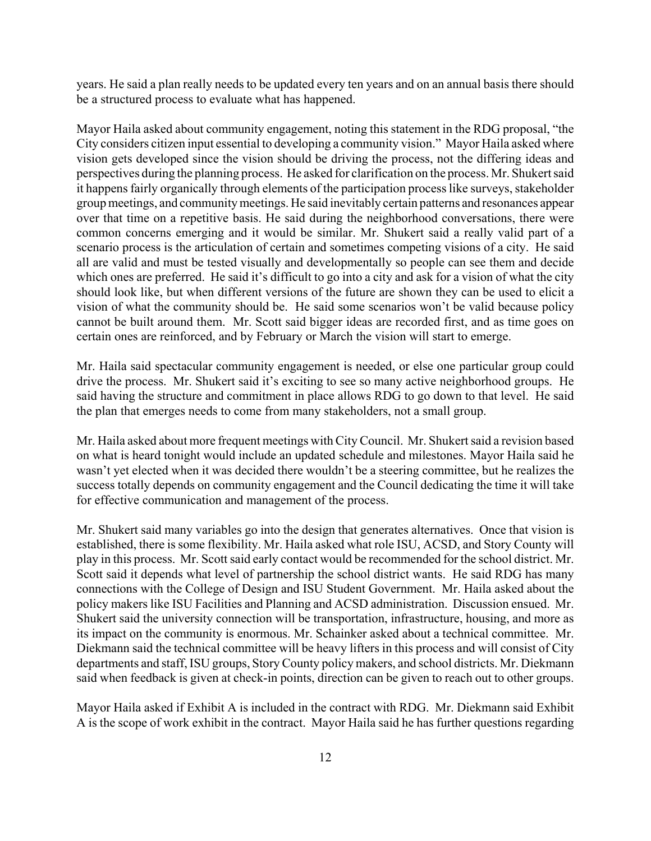years. He said a plan really needs to be updated every ten years and on an annual basis there should be a structured process to evaluate what has happened.

Mayor Haila asked about community engagement, noting this statement in the RDG proposal, "the City considers citizen input essential to developing a community vision." Mayor Haila asked where vision gets developed since the vision should be driving the process, not the differing ideas and perspectives during the planning process. He asked for clarification on the process. Mr. Shukert said it happens fairly organically through elements of the participation process like surveys, stakeholder group meetings, and community meetings. He said inevitably certain patterns and resonances appear over that time on a repetitive basis. He said during the neighborhood conversations, there were common concerns emerging and it would be similar. Mr. Shukert said a really valid part of a scenario process is the articulation of certain and sometimes competing visions of a city. He said all are valid and must be tested visually and developmentally so people can see them and decide which ones are preferred. He said it's difficult to go into a city and ask for a vision of what the city should look like, but when different versions of the future are shown they can be used to elicit a vision of what the community should be. He said some scenarios won't be valid because policy cannot be built around them. Mr. Scott said bigger ideas are recorded first, and as time goes on certain ones are reinforced, and by February or March the vision will start to emerge.

Mr. Haila said spectacular community engagement is needed, or else one particular group could drive the process. Mr. Shukert said it's exciting to see so many active neighborhood groups. He said having the structure and commitment in place allows RDG to go down to that level. He said the plan that emerges needs to come from many stakeholders, not a small group.

Mr. Haila asked about more frequent meetings with City Council. Mr. Shukert said a revision based on what is heard tonight would include an updated schedule and milestones. Mayor Haila said he wasn't yet elected when it was decided there wouldn't be a steering committee, but he realizes the success totally depends on community engagement and the Council dedicating the time it will take for effective communication and management of the process.

Mr. Shukert said many variables go into the design that generates alternatives. Once that vision is established, there is some flexibility. Mr. Haila asked what role ISU, ACSD, and Story County will play in this process. Mr. Scott said early contact would be recommended for the school district. Mr. Scott said it depends what level of partnership the school district wants. He said RDG has many connections with the College of Design and ISU Student Government. Mr. Haila asked about the policy makers like ISU Facilities and Planning and ACSD administration. Discussion ensued. Mr. Shukert said the university connection will be transportation, infrastructure, housing, and more as its impact on the community is enormous. Mr. Schainker asked about a technical committee. Mr. Diekmann said the technical committee will be heavy lifters in this process and will consist of City departments and staff, ISU groups, Story County policy makers, and school districts. Mr. Diekmann said when feedback is given at check-in points, direction can be given to reach out to other groups.

Mayor Haila asked if Exhibit A is included in the contract with RDG. Mr. Diekmann said Exhibit A is the scope of work exhibit in the contract. Mayor Haila said he has further questions regarding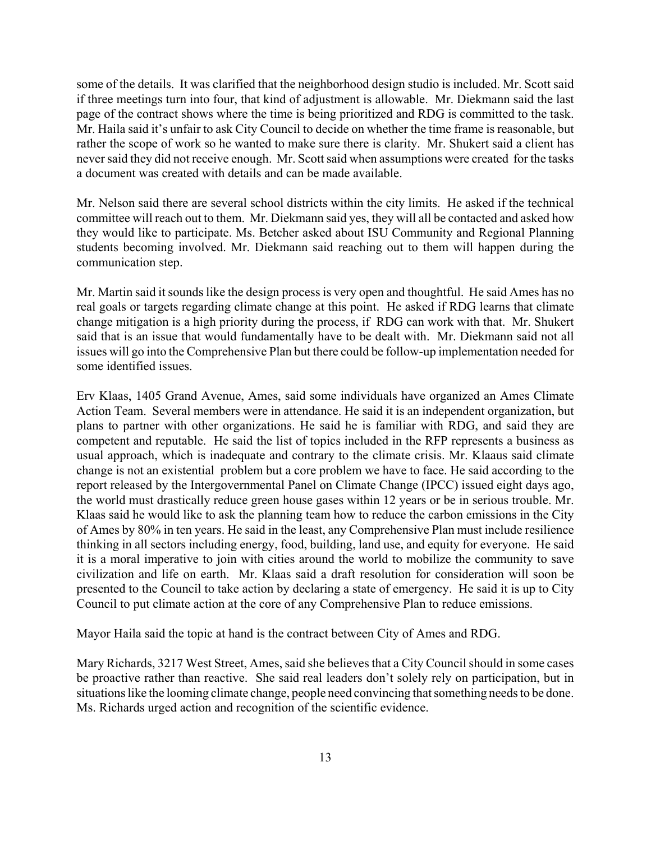some of the details. It was clarified that the neighborhood design studio is included. Mr. Scott said if three meetings turn into four, that kind of adjustment is allowable. Mr. Diekmann said the last page of the contract shows where the time is being prioritized and RDG is committed to the task. Mr. Haila said it's unfair to ask City Council to decide on whether the time frame is reasonable, but rather the scope of work so he wanted to make sure there is clarity. Mr. Shukert said a client has never said they did not receive enough. Mr. Scott said when assumptions were created for the tasks a document was created with details and can be made available.

Mr. Nelson said there are several school districts within the city limits. He asked if the technical committee will reach out to them. Mr. Diekmann said yes, they will all be contacted and asked how they would like to participate. Ms. Betcher asked about ISU Community and Regional Planning students becoming involved. Mr. Diekmann said reaching out to them will happen during the communication step.

Mr. Martin said it sounds like the design process is very open and thoughtful. He said Ames has no real goals or targets regarding climate change at this point. He asked if RDG learns that climate change mitigation is a high priority during the process, if RDG can work with that. Mr. Shukert said that is an issue that would fundamentally have to be dealt with. Mr. Diekmann said not all issues will go into the Comprehensive Plan but there could be follow-up implementation needed for some identified issues.

Erv Klaas, 1405 Grand Avenue, Ames, said some individuals have organized an Ames Climate Action Team. Several members were in attendance. He said it is an independent organization, but plans to partner with other organizations. He said he is familiar with RDG, and said they are competent and reputable. He said the list of topics included in the RFP represents a business as usual approach, which is inadequate and contrary to the climate crisis. Mr. Klaaus said climate change is not an existential problem but a core problem we have to face. He said according to the report released by the Intergovernmental Panel on Climate Change (IPCC) issued eight days ago, the world must drastically reduce green house gases within 12 years or be in serious trouble. Mr. Klaas said he would like to ask the planning team how to reduce the carbon emissions in the City of Ames by 80% in ten years. He said in the least, any Comprehensive Plan must include resilience thinking in all sectors including energy, food, building, land use, and equity for everyone. He said it is a moral imperative to join with cities around the world to mobilize the community to save civilization and life on earth. Mr. Klaas said a draft resolution for consideration will soon be presented to the Council to take action by declaring a state of emergency. He said it is up to City Council to put climate action at the core of any Comprehensive Plan to reduce emissions.

Mayor Haila said the topic at hand is the contract between City of Ames and RDG.

Mary Richards, 3217 West Street, Ames, said she believes that a City Council should in some cases be proactive rather than reactive. She said real leaders don't solely rely on participation, but in situations like the looming climate change, people need convincing that something needs to be done. Ms. Richards urged action and recognition of the scientific evidence.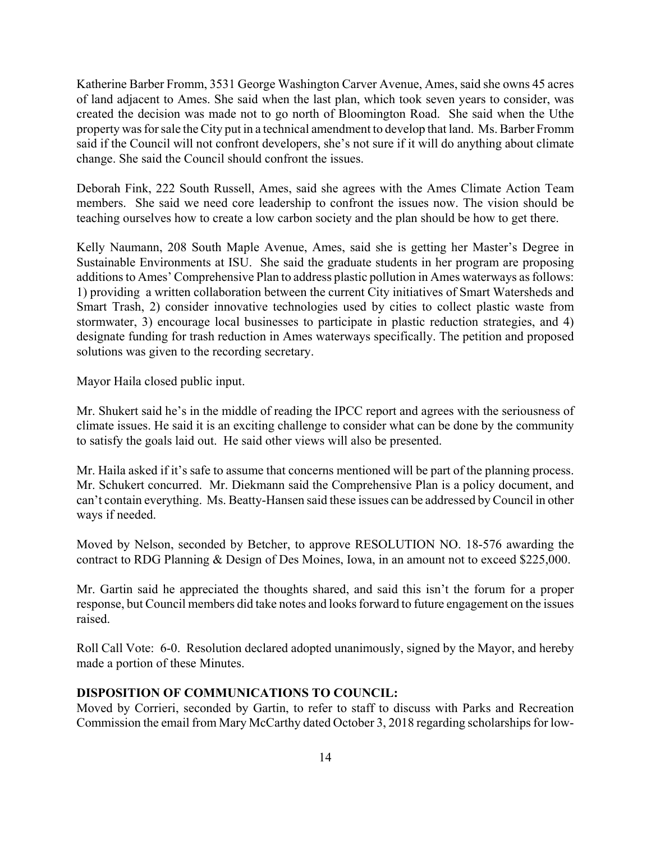Katherine Barber Fromm, 3531 George Washington Carver Avenue, Ames, said she owns 45 acres of land adjacent to Ames. She said when the last plan, which took seven years to consider, was created the decision was made not to go north of Bloomington Road. She said when the Uthe property was for sale the City put in a technical amendment to develop that land. Ms. Barber Fromm said if the Council will not confront developers, she's not sure if it will do anything about climate change. She said the Council should confront the issues.

Deborah Fink, 222 South Russell, Ames, said she agrees with the Ames Climate Action Team members. She said we need core leadership to confront the issues now. The vision should be teaching ourselves how to create a low carbon society and the plan should be how to get there.

Kelly Naumann, 208 South Maple Avenue, Ames, said she is getting her Master's Degree in Sustainable Environments at ISU. She said the graduate students in her program are proposing additions to Ames' Comprehensive Plan to address plastic pollution in Ames waterways as follows: 1) providing a written collaboration between the current City initiatives of Smart Watersheds and Smart Trash, 2) consider innovative technologies used by cities to collect plastic waste from stormwater, 3) encourage local businesses to participate in plastic reduction strategies, and 4) designate funding for trash reduction in Ames waterways specifically. The petition and proposed solutions was given to the recording secretary.

Mayor Haila closed public input.

Mr. Shukert said he's in the middle of reading the IPCC report and agrees with the seriousness of climate issues. He said it is an exciting challenge to consider what can be done by the community to satisfy the goals laid out. He said other views will also be presented.

Mr. Haila asked if it's safe to assume that concerns mentioned will be part of the planning process. Mr. Schukert concurred. Mr. Diekmann said the Comprehensive Plan is a policy document, and can't contain everything. Ms. Beatty-Hansen said these issues can be addressed by Council in other ways if needed.

Moved by Nelson, seconded by Betcher, to approve RESOLUTION NO. 18-576 awarding the contract to RDG Planning & Design of Des Moines, Iowa, in an amount not to exceed \$225,000.

Mr. Gartin said he appreciated the thoughts shared, and said this isn't the forum for a proper response, but Council members did take notes and looks forward to future engagement on the issues raised.

Roll Call Vote: 6-0. Resolution declared adopted unanimously, signed by the Mayor, and hereby made a portion of these Minutes.

### **DISPOSITION OF COMMUNICATIONS TO COUNCIL:**

Moved by Corrieri, seconded by Gartin, to refer to staff to discuss with Parks and Recreation Commission the email from Mary McCarthy dated October 3, 2018 regarding scholarships for low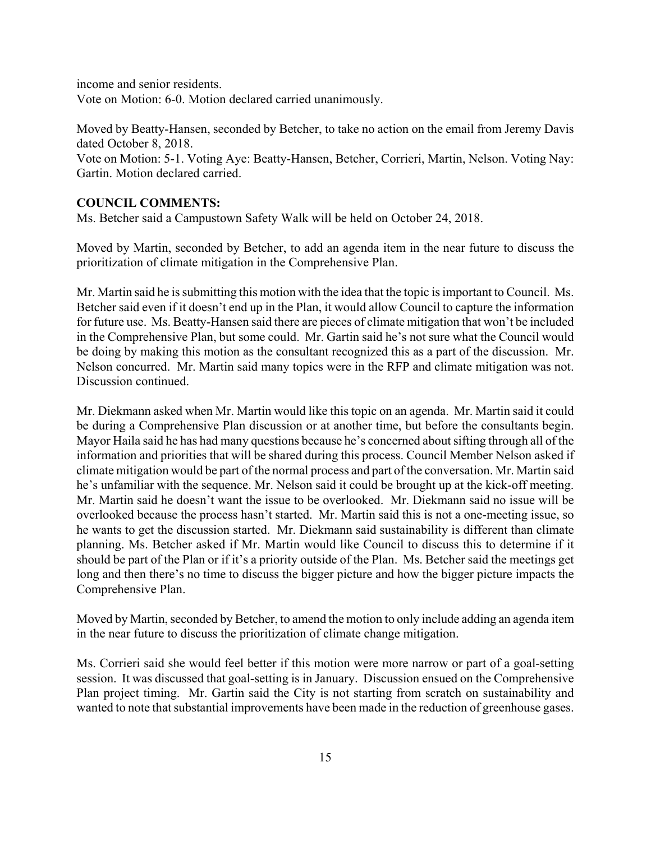income and senior residents. Vote on Motion: 6-0. Motion declared carried unanimously.

Moved by Beatty-Hansen, seconded by Betcher, to take no action on the email from Jeremy Davis dated October 8, 2018.

Vote on Motion: 5-1. Voting Aye: Beatty-Hansen, Betcher, Corrieri, Martin, Nelson. Voting Nay: Gartin. Motion declared carried.

## **COUNCIL COMMENTS:**

Ms. Betcher said a Campustown Safety Walk will be held on October 24, 2018.

Moved by Martin, seconded by Betcher, to add an agenda item in the near future to discuss the prioritization of climate mitigation in the Comprehensive Plan.

Mr. Martin said he is submitting this motion with the idea that the topic is important to Council. Ms. Betcher said even if it doesn't end up in the Plan, it would allow Council to capture the information for future use. Ms. Beatty-Hansen said there are pieces of climate mitigation that won't be included in the Comprehensive Plan, but some could. Mr. Gartin said he's not sure what the Council would be doing by making this motion as the consultant recognized this as a part of the discussion. Mr. Nelson concurred. Mr. Martin said many topics were in the RFP and climate mitigation was not. Discussion continued.

Mr. Diekmann asked when Mr. Martin would like this topic on an agenda. Mr. Martin said it could be during a Comprehensive Plan discussion or at another time, but before the consultants begin. Mayor Haila said he has had many questions because he's concerned about sifting through all of the information and priorities that will be shared during this process. Council Member Nelson asked if climate mitigation would be part of the normal process and part of the conversation. Mr. Martin said he's unfamiliar with the sequence. Mr. Nelson said it could be brought up at the kick-off meeting. Mr. Martin said he doesn't want the issue to be overlooked. Mr. Diekmann said no issue will be overlooked because the process hasn't started. Mr. Martin said this is not a one-meeting issue, so he wants to get the discussion started. Mr. Diekmann said sustainability is different than climate planning. Ms. Betcher asked if Mr. Martin would like Council to discuss this to determine if it should be part of the Plan or if it's a priority outside of the Plan. Ms. Betcher said the meetings get long and then there's no time to discuss the bigger picture and how the bigger picture impacts the Comprehensive Plan.

Moved by Martin, seconded by Betcher, to amend the motion to only include adding an agenda item in the near future to discuss the prioritization of climate change mitigation.

Ms. Corrieri said she would feel better if this motion were more narrow or part of a goal-setting session. It was discussed that goal-setting is in January. Discussion ensued on the Comprehensive Plan project timing. Mr. Gartin said the City is not starting from scratch on sustainability and wanted to note that substantial improvements have been made in the reduction of greenhouse gases.